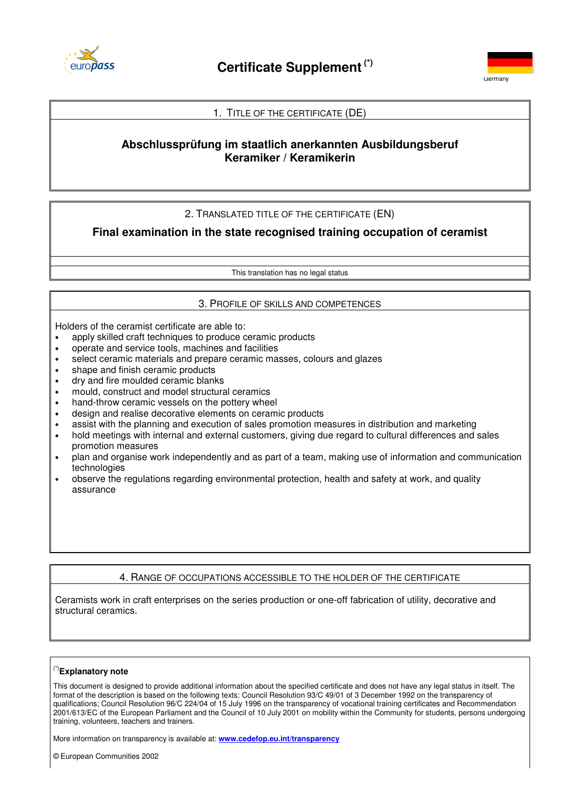



## 1. TITLE OF THE CERTIFICATE (DE)

# **Abschlussprüfung im staatlich anerkannten Ausbildungsberuf Keramiker / Keramikerin**

## 2. TRANSLATED TITLE OF THE CERTIFICATE (EN)

**Final examination in the state recognised training occupation of ceramist**

This translation has no legal status

#### 3. PROFILE OF SKILLS AND COMPETENCES

Holders of the ceramist certificate are able to:

- apply skilled craft techniques to produce ceramic products
- operate and service tools, machines and facilities
- select ceramic materials and prepare ceramic masses, colours and glazes
- shape and finish ceramic products
- dry and fire moulded ceramic blanks
- mould, construct and model structural ceramics
- hand-throw ceramic vessels on the pottery wheel
- design and realise decorative elements on ceramic products
- assist with the planning and execution of sales promotion measures in distribution and marketing
- hold meetings with internal and external customers, giving due regard to cultural differences and sales promotion measures
- plan and organise work independently and as part of a team, making use of information and communication technologies
- observe the regulations regarding environmental protection, health and safety at work, and quality assurance

## 4. RANGE OF OCCUPATIONS ACCESSIBLE TO THE HOLDER OF THE CERTIFICATE

Ceramists work in craft enterprises on the series production or one-off fabrication of utility, decorative and structural ceramics.

#### (\*)**Explanatory note**

This document is designed to provide additional information about the specified certificate and does not have any legal status in itself. The format of the description is based on the following texts: Council Resolution 93/C 49/01 of 3 December 1992 on the transparency of qualifications; Council Resolution 96/C 224/04 of 15 July 1996 on the transparency of vocational training certificates and Recommendation 2001/613/EC of the European Parliament and the Council of 10 July 2001 on mobility within the Community for students, persons undergoing training, volunteers, teachers and trainers.

More information on transparency is available at: **www.cedefop.eu.int/transparency**

© European Communities 2002